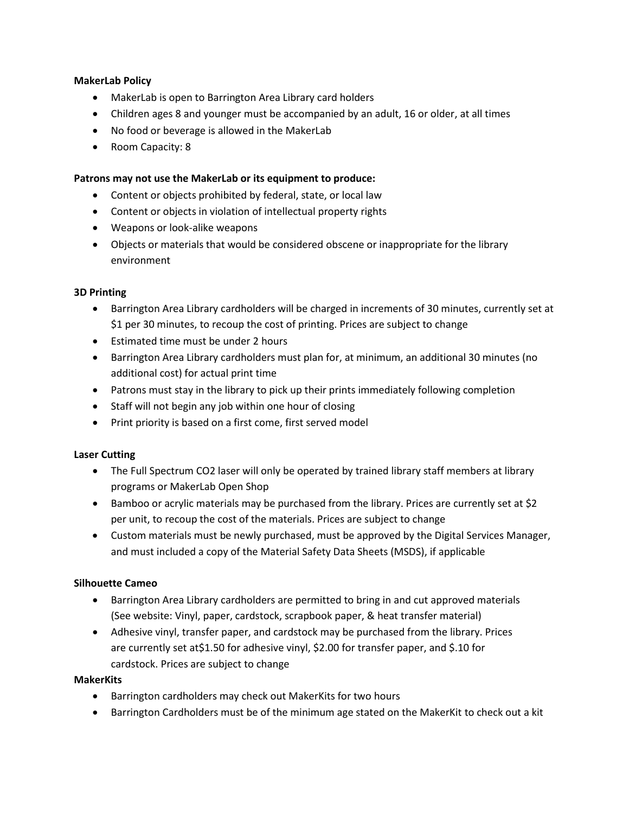# **MakerLab Policy**

- MakerLab is open to Barrington Area Library card holders
- Children ages 8 and younger must be accompanied by an adult, 16 or older, at all times
- No food or beverage is allowed in the MakerLab
- Room Capacity: 8

# **Patrons may not use the MakerLab or its equipment to produce:**

- Content or objects prohibited by federal, state, or local law
- Content or objects in violation of intellectual property rights
- Weapons or look-alike weapons
- Objects or materials that would be considered obscene or inappropriate for the library environment

### **3D Printing**

- Barrington Area Library cardholders will be charged in increments of 30 minutes, currently set at \$1 per 30 minutes, to recoup the cost of printing. Prices are subject to change
- Estimated time must be under 2 hours
- Barrington Area Library cardholders must plan for, at minimum, an additional 30 minutes (no additional cost) for actual print time
- Patrons must stay in the library to pick up their prints immediately following completion
- Staff will not begin any job within one hour of closing
- Print priority is based on a first come, first served model

### **Laser Cutting**

- The Full Spectrum CO2 laser will only be operated by trained library staff members at library programs or MakerLab Open Shop
- Bamboo or acrylic materials may be purchased from the library. Prices are currently set at \$2 per unit, to recoup the cost of the materials. Prices are subject to change
- Custom materials must be newly purchased, must be approved by the Digital Services Manager, and must included a copy of the Material Safety Data Sheets (MSDS), if applicable

### **Silhouette Cameo**

- Barrington Area Library cardholders are permitted to bring in and cut approved materials (See website: Vinyl, paper, cardstock, scrapbook paper, & heat transfer material)
- Adhesive vinyl, transfer paper, and cardstock may be purchased from the library. Prices are currently set at\$1.50 for adhesive vinyl, \$2.00 for transfer paper, and \$.10 for cardstock. Prices are subject to change

### **MakerKits**

- Barrington cardholders may check out MakerKits for two hours
- Barrington Cardholders must be of the minimum age stated on the MakerKit to check out a kit